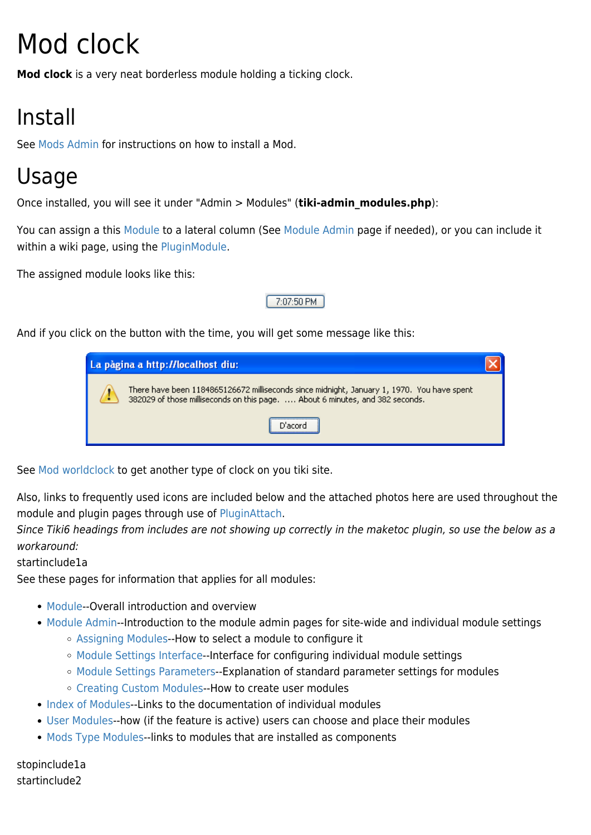# Mod clock

**Mod clock** is a very neat borderless module holding a ticking clock.

## Install

See [Mods Admin](https://doc.tiki.org/Mods-Admin) for instructions on how to install a Mod.

### Usage

Once installed, you will see it under "Admin > Modules" (**tiki-admin\_modules.php**):

You can assign a this [Module](https://doc.tiki.org/Module) to a lateral column (See [Module Admin](https://doc.tiki.org/Module-Admin) page if needed), or you can include it within a wiki page, using the [PluginModule](https://doc.tiki.org/PluginModule).

The assigned module looks like this:



And if you click on the button with the time, you will get some message like this:

| La pàgina a http://localhost diu:                                                                                                                                           |  |
|-----------------------------------------------------------------------------------------------------------------------------------------------------------------------------|--|
| There have been 1184865126672 milliseconds since midnight, January 1, 1970. You have spent<br>382029 of those milliseconds on this page.  About 6 minutes, and 382 seconds. |  |
| D'acord                                                                                                                                                                     |  |

See [Mod worldclock](https://doc.tiki.org/Mod-worldclock) to get another type of clock on you tiki site.

Also, links to frequently used icons are included below and the attached photos here are used throughout the module and plugin pages through use of [PluginAttach](https://doc.tiki.org/PluginAttach).

Since Tiki6 headings from includes are not showing up correctly in the maketoc plugin, so use the below as a workaround:

startinclude1a

See these pages for information that applies for all modules:

- [Module](https://doc.tiki.org/Module)--Overall introduction and overview
- [Module Admin-](https://doc.tiki.org/Module-Admin)-Introduction to the module admin pages for site-wide and individual module settings
	- [Assigning Modules](https://doc.tiki.org/Assigning-Modules)--How to select a module to configure it
	- [Module Settings Interface](https://doc.tiki.org/Module-Settings-Interface)--Interface for configuring individual module settings
	- [Module Settings Parameters](https://doc.tiki.org/Module-Settings-Parameters)--Explanation of standard parameter settings for modules
	- [Creating Custom Modules-](https://doc.tiki.org/Creating-Custom-Modules)-How to create user modules
- [Index of Modules](https://doc.tiki.org/Index-of-Modules)--Links to the documentation of individual modules
- [User Modules-](https://doc.tiki.org/User-Modules)-how (if the feature is active) users can choose and place their modules
- [Mods Type Modules-](https://doc.tiki.org/Mods-Type-Modules)-links to modules that are installed as components

stopinclude1a startinclude2